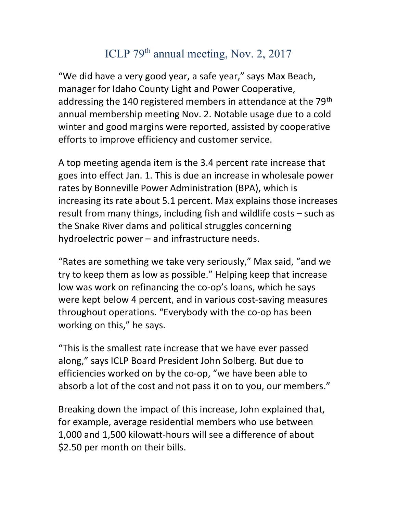## ICLP 79<sup>th</sup> annual meeting, Nov. 2, 2017

"We did have a very good year, a safe year," says Max Beach, manager for Idaho County Light and Power Cooperative, addressing the 140 registered members in attendance at the 79<sup>th</sup> annual membership meeting Nov. 2. Notable usage due to a cold winter and good margins were reported, assisted by cooperative efforts to improve efficiency and customer service.

A top meeting agenda item is the 3.4 percent rate increase that goes into effect Jan. 1. This is due an increase in wholesale power rates by Bonneville Power Administration (BPA), which is increasing its rate about 5.1 percent. Max explains those increases result from many things, including fish and wildlife costs – such as the Snake River dams and political struggles concerning hydroelectric power – and infrastructure needs.

"Rates are something we take very seriously," Max said, "and we try to keep them as low as possible." Helping keep that increase low was work on refinancing the co-op's loans, which he says were kept below 4 percent, and in various cost-saving measures throughout operations. "Everybody with the co-op has been working on this," he says.

"This is the smallest rate increase that we have ever passed along," says ICLP Board President John Solberg. But due to efficiencies worked on by the co-op, "we have been able to absorb a lot of the cost and not pass it on to you, our members."

Breaking down the impact of this increase, John explained that, for example, average residential members who use between 1,000 and 1,500 kilowatt-hours will see a difference of about \$2.50 per month on their bills.